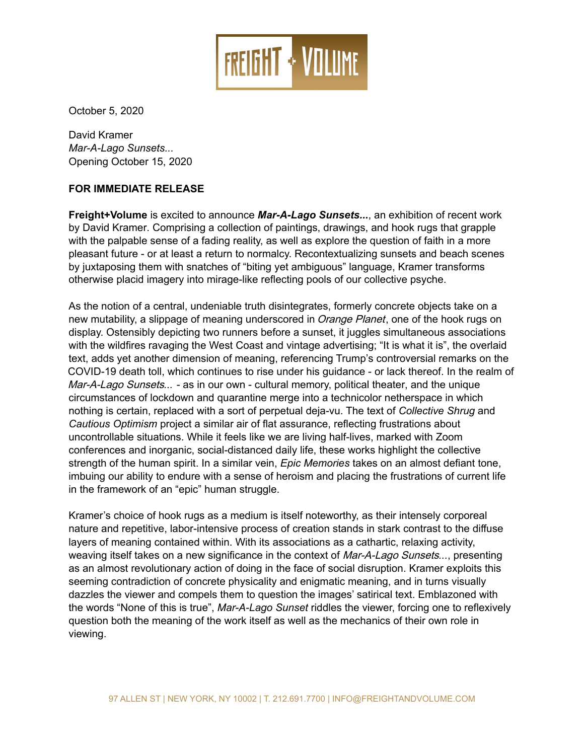

October 5, 2020

David Kramer *Mar-A-Lago Sunsets...*  Opening October 15, 2020

## **FOR IMMEDIATE RELEASE**

**Freight+Volume** is excited to announce *Mar-A-Lago Sunsets...*, an exhibition of recent work by David Kramer. Comprising a collection of paintings, drawings, and hook rugs that grapple with the palpable sense of a fading reality, as well as explore the question of faith in a more pleasant future - or at least a return to normalcy. Recontextualizing sunsets and beach scenes by juxtaposing them with snatches of "biting yet ambiguous" language, Kramer transforms otherwise placid imagery into mirage-like reflecting pools of our collective psyche.

As the notion of a central, undeniable truth disintegrates, formerly concrete objects take on a new mutability, a slippage of meaning underscored in *Orange Planet*, one of the hook rugs on display. Ostensibly depicting two runners before a sunset, it juggles simultaneous associations with the wildfires ravaging the West Coast and vintage advertising; "It is what it is", the overlaid text, adds yet another dimension of meaning, referencing Trump's controversial remarks on the COVID-19 death toll, which continues to rise under his guidance - or lack thereof. In the realm of Mar-A-Lago Sunsets*...* - as in our own - cultural memory, political theater, and the unique circumstances of lockdown and quarantine merge into a technicolor netherspace in which nothing is certain, replaced with a sort of perpetual deja-vu. The text of *Collective Shrug* and *Cautious Optimism* project a similar air of flat assurance, reflecting frustrations about uncontrollable situations. While it feels like we are living half-lives, marked with Zoom conferences and inorganic, social-distanced daily life, these works highlight the collective strength of the human spirit. In a similar vein, *Epic Memories* takes on an almost defiant tone, imbuing our ability to endure with a sense of heroism and placing the frustrations of current life in the framework of an "epic" human struggle.

Kramer's choice of hook rugs as a medium is itself noteworthy, as their intensely corporeal nature and repetitive, labor-intensive process of creation stands in stark contrast to the diffuse layers of meaning contained within. With its associations as a cathartic, relaxing activity, weaving itself takes on a new significance in the context of Mar-A-Lago Sunsets*...*, presenting as an almost revolutionary action of doing in the face of social disruption. Kramer exploits this seeming contradiction of concrete physicality and enigmatic meaning, and in turns visually dazzles the viewer and compels them to question the images' satirical text. Emblazoned with the words "None of this is true", *Mar-A-Lago Sunset* riddles the viewer, forcing one to reflexively question both the meaning of the work itself as well as the mechanics of their own role in viewing.